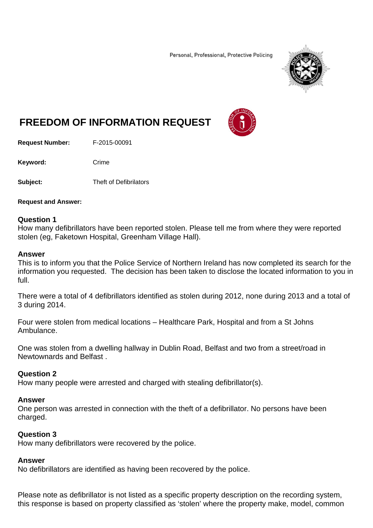Personal, Professional, Protective Policing



# **FREEDOM OF INFORMATION REQUEST**

**Request Number:** F-2015-00091

Keyword: Crime

**Subject:** Theft of Defibrilators

## **Request and Answer:**

## **Question 1**

How many defibrillators have been reported stolen. Please tell me from where they were reported stolen (eg, Faketown Hospital, Greenham Village Hall).

### **Answer**

This is to inform you that the Police Service of Northern Ireland has now completed its search for the information you requested. The decision has been taken to disclose the located information to you in full.

There were a total of 4 defibrillators identified as stolen during 2012, none during 2013 and a total of 3 during 2014.

Four were stolen from medical locations – Healthcare Park, Hospital and from a St Johns Ambulance.

One was stolen from a dwelling hallway in Dublin Road, Belfast and two from a street/road in Newtownards and Belfast .

## **Question 2**

How many people were arrested and charged with stealing defibrillator(s).

## **Answer**

One person was arrested in connection with the theft of a defibrillator. No persons have been charged.

## **Question 3**

How many defibrillators were recovered by the police.

## **Answer**

No defibrillators are identified as having been recovered by the police.

Please note as defibrillator is not listed as a specific property description on the recording system, this response is based on property classified as 'stolen' where the property make, model, common